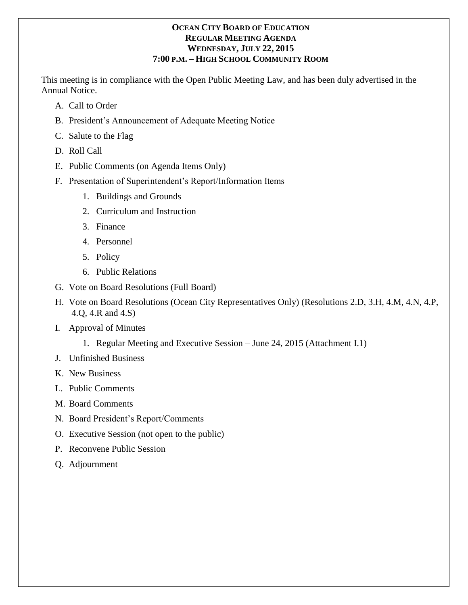## **OCEAN CITY BOARD OF EDUCATION REGULAR MEETING AGENDA WEDNESDAY, JULY 22, 2015 7:00 P.M. – HIGH SCHOOL COMMUNITY ROOM**

This meeting is in compliance with the Open Public Meeting Law, and has been duly advertised in the Annual Notice.

- A. Call to Order
- B. President's Announcement of Adequate Meeting Notice
- C. Salute to the Flag
- D. Roll Call
- E. Public Comments (on Agenda Items Only)
- F. Presentation of Superintendent's Report/Information Items
	- 1. Buildings and Grounds
	- 2. Curriculum and Instruction
	- 3. Finance
	- 4. Personnel
	- 5. Policy
	- 6. Public Relations
- G. Vote on Board Resolutions (Full Board)
- H. Vote on Board Resolutions (Ocean City Representatives Only) (Resolutions 2.D, 3.H, 4.M, 4.N, 4.P, 4.Q, 4.R and 4.S)
- I. Approval of Minutes
	- 1. Regular Meeting and Executive Session June 24, 2015 (Attachment I.1)
- J. Unfinished Business
- K. New Business
- L. Public Comments
- M. Board Comments
- N. Board President's Report/Comments
- O. Executive Session (not open to the public)
- P. Reconvene Public Session
- Q. Adjournment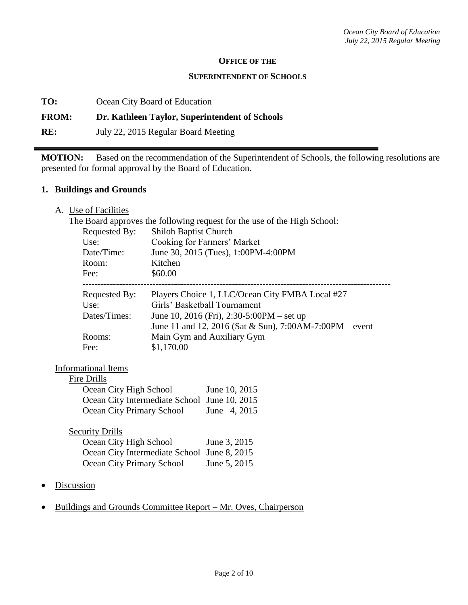#### **OFFICE OF THE**

#### **SUPERINTENDENT OF SCHOOLS**

**TO:** Ocean City Board of Education

# **FROM: Dr. Kathleen Taylor, Superintendent of Schools**

**RE:** July 22, 2015 Regular Board Meeting

**MOTION:** Based on the recommendation of the Superintendent of Schools, the following resolutions are presented for formal approval by the Board of Education.

#### **1. Buildings and Grounds**

A. Use of Facilities

| The Board approves the following request for the use of the High School: |                                                               |  |  |  |
|--------------------------------------------------------------------------|---------------------------------------------------------------|--|--|--|
| Requested By:                                                            | Shiloh Baptist Church                                         |  |  |  |
| Use:                                                                     | Cooking for Farmers' Market                                   |  |  |  |
| Date/Time:                                                               | June 30, 2015 (Tues), 1:00PM-4:00PM                           |  |  |  |
| Room:                                                                    | Kitchen                                                       |  |  |  |
| Fee:                                                                     | \$60.00                                                       |  |  |  |
|                                                                          | Requested By: Players Choice 1, LLC/Ocean City FMBA Local #27 |  |  |  |
| Use:                                                                     | Girls' Basketball Tournament                                  |  |  |  |
| Dates/Times:                                                             | June 10, 2016 (Fri), 2:30-5:00PM – set up                     |  |  |  |
|                                                                          | June 11 and 12, 2016 (Sat & Sun), 7:00AM-7:00PM – event       |  |  |  |
| Rooms:                                                                   | Main Gym and Auxiliary Gym                                    |  |  |  |
| Fee:                                                                     | \$1,170.00                                                    |  |  |  |
| <b>Informational Items</b>                                               |                                                               |  |  |  |
| Fire Drills                                                              |                                                               |  |  |  |
|                                                                          | Ocean City High School June 10, 2015                          |  |  |  |
|                                                                          | Ocean City Intermediate School June 10, 2015                  |  |  |  |
| <b>Ocean City Primary School</b>                                         | June 4, 2015                                                  |  |  |  |
| <b>Security Drills</b>                                                   |                                                               |  |  |  |
| Ocean City High School                                                   | June 3, 2015                                                  |  |  |  |
|                                                                          | Ocean City Intermediate School June 8, 2015                   |  |  |  |
| Ocean City Primary School                                                | June 5, 2015                                                  |  |  |  |
|                                                                          |                                                               |  |  |  |
| Discussion                                                               |                                                               |  |  |  |

Buildings and Grounds Committee Report – Mr. Oves, Chairperson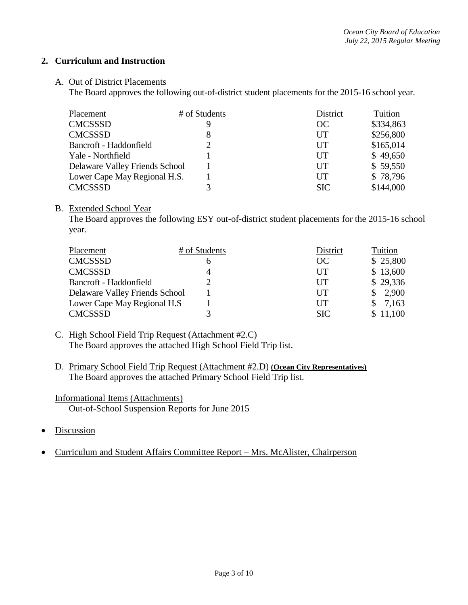### **2. Curriculum and Instruction**

#### A. Out of District Placements

The Board approves the following out-of-district student placements for the 2015-16 school year.

| Placement                      | # of Students | District   | Tuition   |
|--------------------------------|---------------|------------|-----------|
| <b>CMCSSSD</b>                 | Q             | OC         | \$334,863 |
| <b>CMCSSSD</b>                 | 8             | UT         | \$256,800 |
| Bancroft - Haddonfield         |               | UT         | \$165,014 |
| Yale - Northfield              |               | UT         | \$49,650  |
| Delaware Valley Friends School |               | UT         | \$59,550  |
| Lower Cape May Regional H.S.   |               | UT         | \$78,796  |
| <b>CMCSSSD</b>                 |               | <b>SIC</b> | \$144,000 |

#### B. Extended School Year

The Board approves the following ESY out-of-district student placements for the 2015-16 school year.

| Placement                      | # of Students | District     | Tuition  |
|--------------------------------|---------------|--------------|----------|
| <b>CMCSSSD</b>                 |               | OC           | \$25,800 |
| <b>CMCSSSD</b>                 |               | UT           | \$13,600 |
| Bancroft - Haddonfield         |               | UT           | \$29,336 |
| Delaware Valley Friends School |               | $_{\rm{UT}}$ | 2,900    |
| Lower Cape May Regional H.S    |               | UT           | 7,163    |
| <b>CMCSSSD</b>                 |               | <b>SIC</b>   | \$11,100 |

- C. High School Field Trip Request (Attachment #2.C) The Board approves the attached High School Field Trip list.
- D. Primary School Field Trip Request (Attachment #2.D) **(Ocean City Representatives)** The Board approves the attached Primary School Field Trip list.
- Informational Items (Attachments) Out-of-School Suspension Reports for June 2015
- Discussion
- Curriculum and Student Affairs Committee Report Mrs. McAlister, Chairperson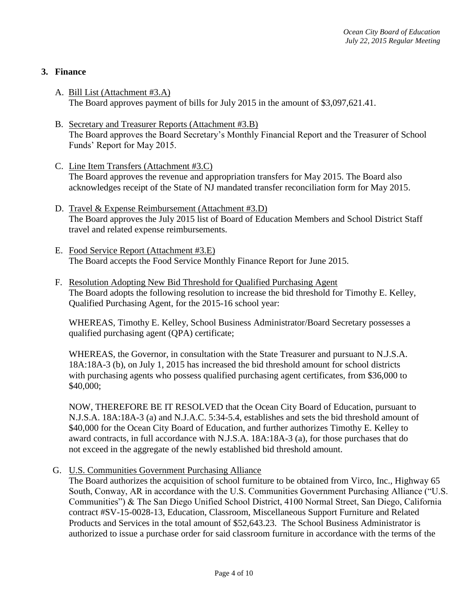## **3. Finance**

- A. Bill List (Attachment #3.A) The Board approves payment of bills for July 2015 in the amount of \$3,097,621.41.
- B. Secretary and Treasurer Reports (Attachment #3.B) The Board approves the Board Secretary's Monthly Financial Report and the Treasurer of School Funds' Report for May 2015.
- C. Line Item Transfers (Attachment #3.C) The Board approves the revenue and appropriation transfers for May 2015. The Board also acknowledges receipt of the State of NJ mandated transfer reconciliation form for May 2015.
- D. Travel & Expense Reimbursement (Attachment #3.D) The Board approves the July 2015 list of Board of Education Members and School District Staff travel and related expense reimbursements.
- E. Food Service Report (Attachment #3.E) The Board accepts the Food Service Monthly Finance Report for June 2015.
- F. Resolution Adopting New Bid Threshold for Qualified Purchasing Agent The Board adopts the following resolution to increase the bid threshold for Timothy E. Kelley, Qualified Purchasing Agent, for the 2015-16 school year:

WHEREAS, Timothy E. Kelley, School Business Administrator/Board Secretary possesses a qualified purchasing agent (QPA) certificate;

WHEREAS, the Governor, in consultation with the State Treasurer and pursuant to N.J.S.A. 18A:18A-3 (b), on July 1, 2015 has increased the bid threshold amount for school districts with purchasing agents who possess qualified purchasing agent certificates, from \$36,000 to \$40,000;

NOW, THEREFORE BE IT RESOLVED that the Ocean City Board of Education, pursuant to N.J.S.A. 18A:18A-3 (a) and N.J.A.C. 5:34-5.4, establishes and sets the bid threshold amount of \$40,000 for the Ocean City Board of Education, and further authorizes Timothy E. Kelley to award contracts, in full accordance with N.J.S.A. 18A:18A-3 (a), for those purchases that do not exceed in the aggregate of the newly established bid threshold amount.

G. U.S. Communities Government Purchasing Alliance

The Board authorizes the acquisition of school furniture to be obtained from Virco, Inc., Highway 65 South, Conway, AR in accordance with the U.S. Communities Government Purchasing Alliance ("U.S. Communities") & The San Diego Unified School District, 4100 Normal Street, San Diego, California contract #SV-15-0028-13, Education, Classroom, Miscellaneous Support Furniture and Related Products and Services in the total amount of \$52,643.23. The School Business Administrator is authorized to issue a purchase order for said classroom furniture in accordance with the terms of the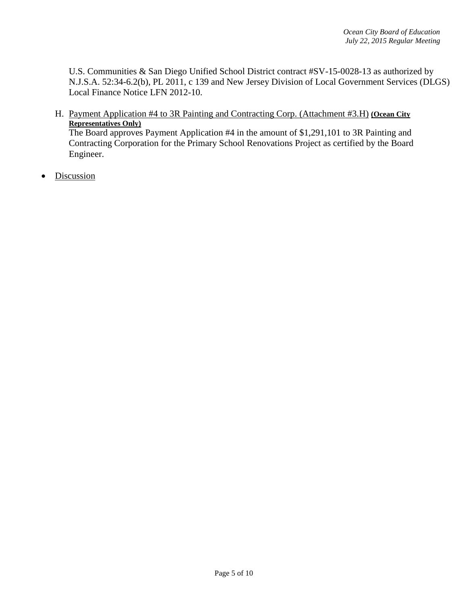U.S. Communities & San Diego Unified School District contract #SV-15-0028-13 as authorized by N.J.S.A. 52:34-6.2(b), PL 2011, c 139 and New Jersey Division of Local Government Services (DLGS) Local Finance Notice LFN 2012-10.

H. Payment Application #4 to 3R Painting and Contracting Corp. (Attachment #3.H) **(Ocean City Representatives Only)**

The Board approves Payment Application #4 in the amount of \$1,291,101 to 3R Painting and Contracting Corporation for the Primary School Renovations Project as certified by the Board Engineer.

• Discussion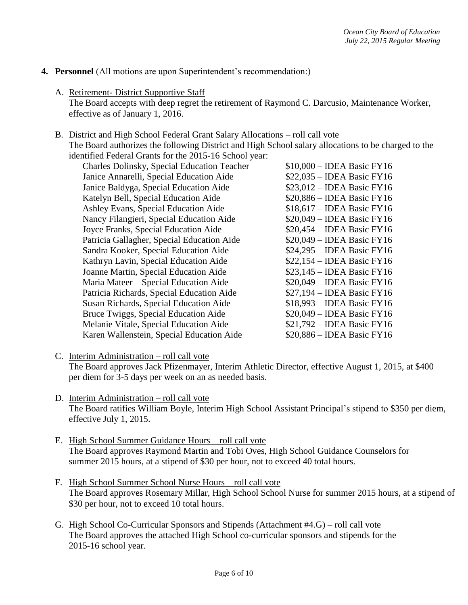## **4. Personnel** (All motions are upon Superintendent's recommendation:)

- A. Retirement- District Supportive Staff The Board accepts with deep regret the retirement of Raymond C. Darcusio, Maintenance Worker, effective as of January 1, 2016.
- B. District and High School Federal Grant Salary Allocations roll call vote

The Board authorizes the following District and High School salary allocations to be charged to the identified Federal Grants for the 2015-16 School year:

| Charles Dolinsky, Special Education Teacher | $$10,000 - IDEA$ Basic FY16 |
|---------------------------------------------|-----------------------------|
| Janice Annarelli, Special Education Aide    | $$22,035 - IDEA$ Basic FY16 |
| Janice Baldyga, Special Education Aide      | $$23,012$ – IDEA Basic FY16 |
| Katelyn Bell, Special Education Aide        | $$20,886 - IDEA Basic FY16$ |
| Ashley Evans, Special Education Aide        | $$18,617 - IDEA Basic FY16$ |
| Nancy Filangieri, Special Education Aide    | $$20,049 - IDEA Basic FY16$ |
| Joyce Franks, Special Education Aide        | $$20,454 - IDEA Basic FY16$ |
| Patricia Gallagher, Special Education Aide  | $$20,049 - IDEA Basic FY16$ |
| Sandra Kooker, Special Education Aide       | $$24,295 - IDEA Basic FY16$ |
| Kathryn Lavin, Special Education Aide       | $$22,154 - IDEA Basic FY16$ |
| Joanne Martin, Special Education Aide       | $$23,145$ – IDEA Basic FY16 |
| Maria Mateer – Special Education Aide       | $$20,049 - IDEA Basic FY16$ |
| Patricia Richards, Special Education Aide   | $$27,194 - IDEA Basic FY16$ |
| Susan Richards, Special Education Aide      | \$18,993 - IDEA Basic FY16  |
| Bruce Twiggs, Special Education Aide        | $$20,049 - IDEA Basic FY16$ |
| Melanie Vitale, Special Education Aide      | $$21,792 - IDEA Basic FY16$ |
| Karen Wallenstein, Special Education Aide   | $$20,886 - IDEA Basic FY16$ |

- C. Interim Administration roll call vote The Board approves Jack Pfizenmayer, Interim Athletic Director, effective August 1, 2015, at \$400 per diem for 3-5 days per week on an as needed basis.
- D. Interim Administration roll call vote The Board ratifies William Boyle, Interim High School Assistant Principal's stipend to \$350 per diem, effective July 1, 2015.
- E. High School Summer Guidance Hours roll call vote The Board approves Raymond Martin and Tobi Oves, High School Guidance Counselors for summer 2015 hours, at a stipend of \$30 per hour, not to exceed 40 total hours.
- F. High School Summer School Nurse Hours roll call vote The Board approves Rosemary Millar, High School School Nurse for summer 2015 hours, at a stipend of \$30 per hour, not to exceed 10 total hours.
- G. High School Co-Curricular Sponsors and Stipends (Attachment #4.G) roll call vote The Board approves the attached High School co-curricular sponsors and stipends for the 2015-16 school year.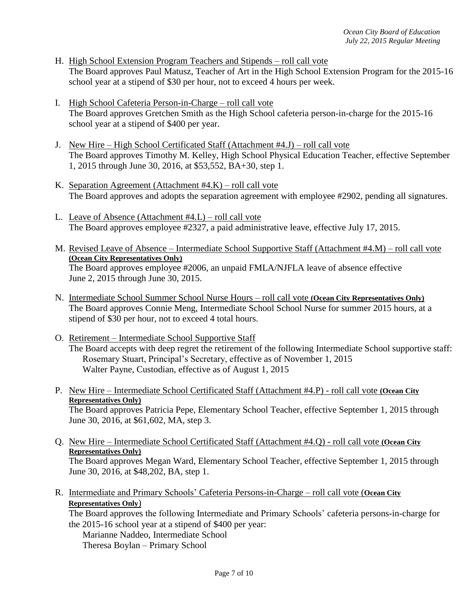- H. High School Extension Program Teachers and Stipends roll call vote The Board approves Paul Matusz, Teacher of Art in the High School Extension Program for the 2015-16 school year at a stipend of \$30 per hour, not to exceed 4 hours per week.
- I. High School Cafeteria Person-in-Charge roll call vote The Board approves Gretchen Smith as the High School cafeteria person-in-charge for the 2015-16 school year at a stipend of \$400 per year.
- J. New Hire High School Certificated Staff (Attachment #4.J) roll call vote The Board approves Timothy M. Kelley, High School Physical Education Teacher, effective September 1, 2015 through June 30, 2016, at \$53,552, BA+30, step 1.
- K. Separation Agreement (Attachment #4.K) roll call vote The Board approves and adopts the separation agreement with employee #2902, pending all signatures.
- L. Leave of Absence (Attachment #4.L) roll call vote The Board approves employee #2327, a paid administrative leave, effective July 17, 2015.
- M. Revised Leave of Absence Intermediate School Supportive Staff (Attachment #4.M) roll call vote **(Ocean City Representatives Only)** The Board approves employee #2006, an unpaid FMLA/NJFLA leave of absence effective June 2, 2015 through June 30, 2015.
- N. Intermediate School Summer School Nurse Hours roll call vote **(Ocean City Representatives Only)** The Board approves Connie Meng, Intermediate School School Nurse for summer 2015 hours, at a stipend of \$30 per hour, not to exceed 4 total hours.
- O. Retirement Intermediate School Supportive Staff The Board accepts with deep regret the retirement of the following Intermediate School supportive staff: Rosemary Stuart, Principal's Secretary, effective as of November 1, 2015 Walter Payne, Custodian, effective as of August 1, 2015
- P. New Hire Intermediate School Certificated Staff (Attachment #4.P) roll call vote **(Ocean City Representatives Only)**

The Board approves Patricia Pepe, Elementary School Teacher, effective September 1, 2015 through June 30, 2016, at \$61,602, MA, step 3.

- Q. New Hire Intermediate School Certificated Staff (Attachment #4.Q) roll call vote **(Ocean City Representatives Only)** The Board approves Megan Ward, Elementary School Teacher, effective September 1, 2015 through June 30, 2016, at \$48,202, BA, step 1.
- R. Intermediate and Primary Schools' Cafeteria Persons-in-Charge roll call vote (**Ocean City Representatives Only**)

The Board approves the following Intermediate and Primary Schools' cafeteria persons-in-charge for the 2015-16 school year at a stipend of \$400 per year:

Marianne Naddeo, Intermediate School Theresa Boylan – Primary School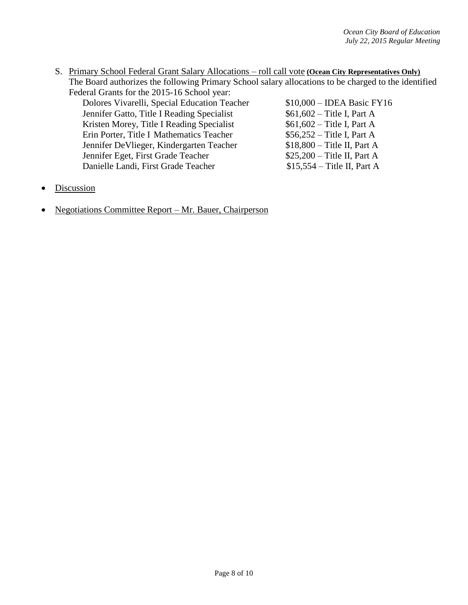S. Primary School Federal Grant Salary Allocations – roll call vote **(Ocean City Representatives Only)** The Board authorizes the following Primary School salary allocations to be charged to the identified Federal Grants for the 2015-16 School year:

Dolores Vivarelli, Special Education Teacher \$10,000 – IDEA Basic FY16 Jennifer Gatto, Title I Reading Specialist \$61,602 – Title I, Part A Kristen Morey, Title I Reading Specialist \$61,602 – Title I, Part A Erin Porter, Title I Mathematics Teacher \$56,252 – Title I, Part A Jennifer DeVlieger, Kindergarten Teacher \$18,800 – Title II, Part A Jennifer Eget, First Grade Teacher \$25,200 – Title II, Part A Danielle Landi, First Grade Teacher \$15,554 – Title II, Part A

- **Discussion**
- Negotiations Committee Report Mr. Bauer, Chairperson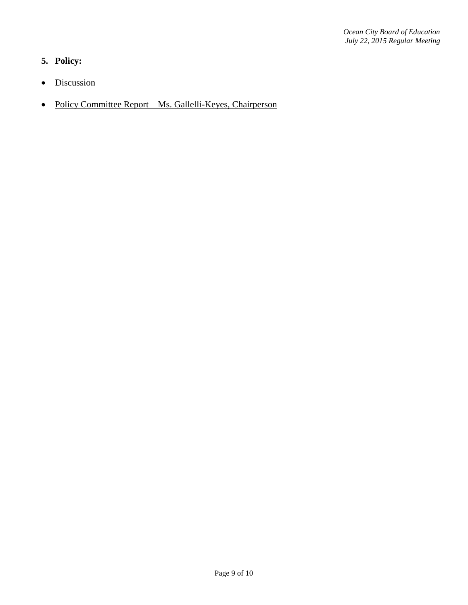# **5. Policy:**

- Discussion
- Policy Committee Report Ms. Gallelli-Keyes, Chairperson